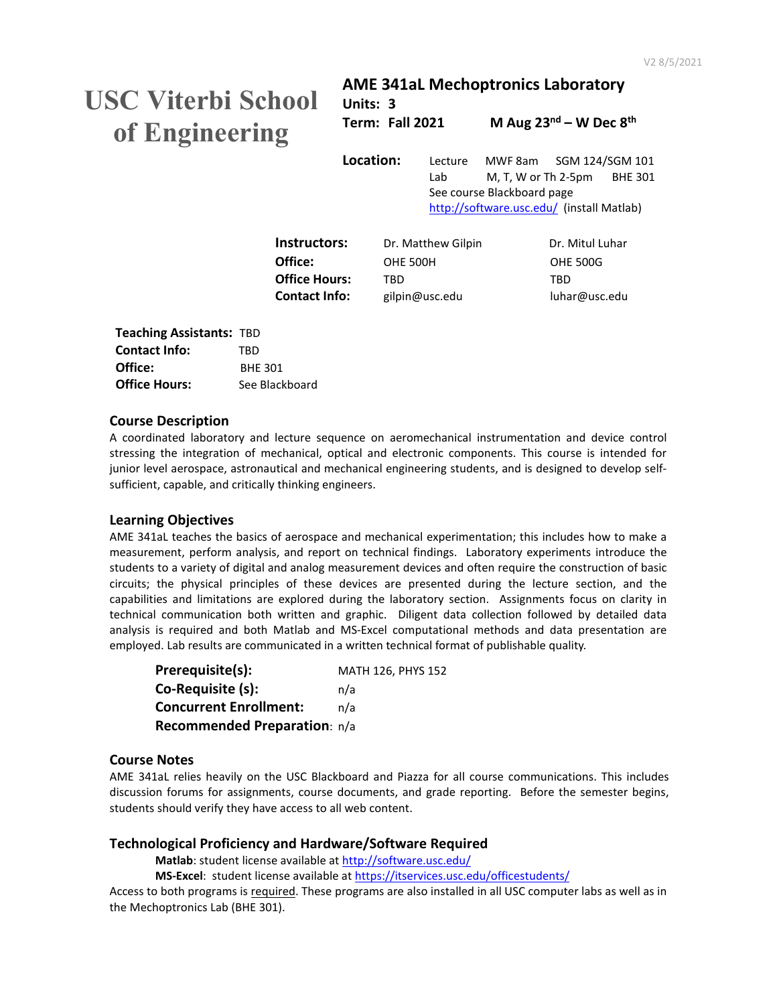# **USC Viterbi School of Engineering**

## **AME 341aL Mechoptronics Laboratory Units: 3**

**Term: Fall 2021 M Aug 23nd – W Dec 8th**

**Location:** Lecture MWF 8am SGM 124/SGM 101 Lab M, T, W or Th 2-5pm BHE 301 See course Blackboard page <http://software.usc.edu/>(install Matlab)

| Instructors:         | Dr. Matthew Gilpin | Dr. Mitul Luhar |
|----------------------|--------------------|-----------------|
| Office:              | OHE 500H           | <b>OHE 500G</b> |
| Office Hours:        | TRD.               | TRD             |
| <b>Contact Info:</b> | gilpin@usc.edu     | luhar@usc.edu   |
|                      |                    |                 |

| <b>Teaching Assistants: TBD</b> |                |
|---------------------------------|----------------|
| <b>Contact Info:</b>            | TRD            |
| Office:                         | <b>BHF 301</b> |
| <b>Office Hours:</b>            | See Blackboard |

### **Course Description**

A coordinated laboratory and lecture sequence on aeromechanical instrumentation and device control stressing the integration of mechanical, optical and electronic components. This course is intended for junior level aerospace, astronautical and mechanical engineering students, and is designed to develop selfsufficient, capable, and critically thinking engineers.

## **Learning Objectives**

AME 341aL teaches the basics of aerospace and mechanical experimentation; this includes how to make a measurement, perform analysis, and report on technical findings. Laboratory experiments introduce the students to a variety of digital and analog measurement devices and often require the construction of basic circuits; the physical principles of these devices are presented during the lecture section, and the capabilities and limitations are explored during the laboratory section. Assignments focus on clarity in technical communication both written and graphic. Diligent data collection followed by detailed data analysis is required and both Matlab and MS-Excel computational methods and data presentation are employed. Lab results are communicated in a written technical format of publishable quality.

| Prerequisite(s):              | MATH 126, PHYS 152 |
|-------------------------------|--------------------|
| Co-Requisite (s):             | n/a                |
| <b>Concurrent Enrollment:</b> | n/a                |
| Recommended Preparation: n/a  |                    |

## **Course Notes**

AME 341aL relies heavily on the USC Blackboard and Piazza for all course communications. This includes discussion forums for assignments, course documents, and grade reporting. Before the semester begins, students should verify they have access to all web content.

## **Technological Proficiency and Hardware/Software Required**

**Matlab**: student license available a[t http://software.usc.edu/](http://software.usc.edu/)

**MS-Excel**: student license available a[t https://itservices.usc.edu/officestudents/](https://itservices.usc.edu/officestudents/)

Access to both programs is required. These programs are also installed in all USC computer labs as well as in the Mechoptronics Lab (BHE 301).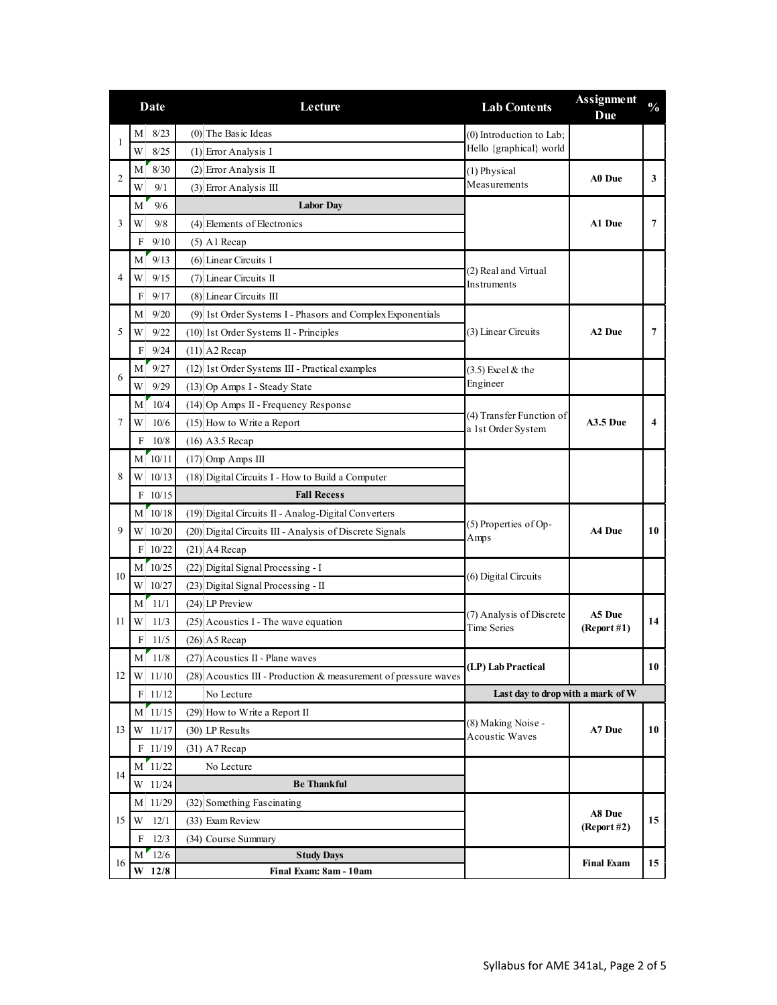|    | Date        | Lecture                                                         | <b>Lab Contents</b>                            | <b>Assignment</b><br>Due | $\frac{0}{0}$ |
|----|-------------|-----------------------------------------------------------------|------------------------------------------------|--------------------------|---------------|
| 1  | 8/23<br>M   | $(0)$ The Basic Ideas                                           | (0) Introduction to Lab;                       |                          |               |
|    | 8/25<br>W   | $(1)$ Error Analysis I                                          | Hello {graphical} world                        |                          |               |
| 2  | 8/30<br>M   | $(2)$ Error Analysis II                                         | (1) Physical                                   | A0 Due                   | 3             |
|    | 9/1<br>W    | $(3)$ Error Analysis III                                        | Measurements                                   |                          |               |
|    | 9/6<br>M    | <b>Labor Day</b>                                                |                                                |                          |               |
| 3  | W<br>9/8    | (4) Elements of Electronics                                     |                                                | A1 Due                   | 7             |
|    | 9/10<br>F   | $(5)$ A1 Recap                                                  |                                                |                          |               |
|    | 9/13<br>M   | $(6)$ Linear Circuits I                                         |                                                |                          |               |
| 4  | 9/15<br>W   | (2) Real and Virtual<br>(7) Linear Circuits II<br>Instruments   |                                                |                          |               |
|    | 9/17<br>F   | $(8)$ Linear Circuits III                                       |                                                |                          |               |
|    | 9/20<br>М   | (9) 1st Order Systems I - Phasors and Complex Exponentials      |                                                | A <sub>2</sub> Due       | 7             |
| 5  | 9/22<br>W   | $(10)$ 1st Order Systems II - Principles                        | (3) Linear Circuits                            |                          |               |
|    | F<br>9/24   | $(11)$ A2 Recap                                                 |                                                |                          |               |
| 6  | 9/27<br>M   | (12) 1st Order Systems III - Practical examples                 | $(3.5)$ Excel & the                            |                          |               |
|    | 9/29<br>W   | (13) Op Amps I - Steady State                                   | Engineer                                       |                          |               |
|    | 10/4<br>M   | (14) Op Amps II - Frequency Response                            |                                                | <b>A3.5 Due</b>          | 4             |
| 7  | 10/6<br>W   | (15) How to Write a Report                                      | (4) Transfer Function of<br>a 1st Order System |                          |               |
|    | $10/8$<br>F | $(16)$ A3.5 Recap                                               |                                                |                          |               |
|    | $M$ 10/11   | $(17)$ Omp Amps III                                             |                                                |                          |               |
| 8  | 10/13<br>W  | (18) Digital Circuits I - How to Build a Computer               |                                                |                          |               |
|    | F 10/15     | <b>Fall Recess</b>                                              |                                                |                          |               |
|    | $M$ 10/18   | (19) Digital Circuits II - Analog-Digital Converters            | (5) Properties of Op-<br>Amps                  | A4 Due                   | 10            |
| 9  | 10/20<br>W  | (20) Digital Circuits III - Analysis of Discrete Signals        |                                                |                          |               |
|    | $F$ 10/22   | $(21)$ A4 Recap                                                 |                                                |                          |               |
|    | $M$ 10/25   | (22) Digital Signal Processing - I                              |                                                |                          |               |
| 10 | 10/27<br>W  | (23) Digital Signal Processing - II                             | (6) Digital Circuits                           |                          |               |
|    | 11/1<br>М   | (24) LP Preview                                                 |                                                |                          |               |
| 11 | 11/3<br>W   | $(25)$ Acoustics I - The wave equation                          | (7) Analysis of Discrete<br>Time Series        | A5 Due<br>(Report #1)    | 14            |
|    | 11/5<br>F   | $(26)$ A5 Recap                                                 |                                                |                          |               |
|    | $M$ 11/8    | $(27)$ Acoustics II - Plane waves                               |                                                |                          |               |
| 12 | $W$   11/10 | (28) Acoustics III - Production & measurement of pressure waves | (LP) Lab Practical                             |                          | 10            |
|    | $F$ 11/12   | No Lecture                                                      | Last day to drop with a mark of W              |                          |               |
|    | $M$ 11/15   | $(29)$ How to Write a Report II                                 |                                                |                          |               |
| 13 | W 11/17     | (30) LP Results                                                 | (8) Making Noise -<br>Acoustic Waves           | A7 Due                   | 10            |
|    | F 11/19     | $(31)$ A7 Recap                                                 |                                                |                          |               |
|    | M 11/22     | No Lecture                                                      |                                                |                          |               |
| 14 | W 11/24     | <b>Be Thankful</b>                                              |                                                |                          |               |
|    | M 11/29     | (32) Something Fascinating                                      |                                                |                          |               |
| 15 | 12/1<br>W   | (33) Exam Review                                                |                                                | A8 Due<br>(Report #2)    | 15            |
|    | 12/3<br>F   | (34) Course Summary                                             |                                                |                          |               |
| 16 | 12/6<br>M   | <b>Study Days</b>                                               |                                                |                          |               |
|    | $W$ 12/8    | Final Exam: 8am - 10am                                          |                                                | <b>Final Exam</b>        | 15            |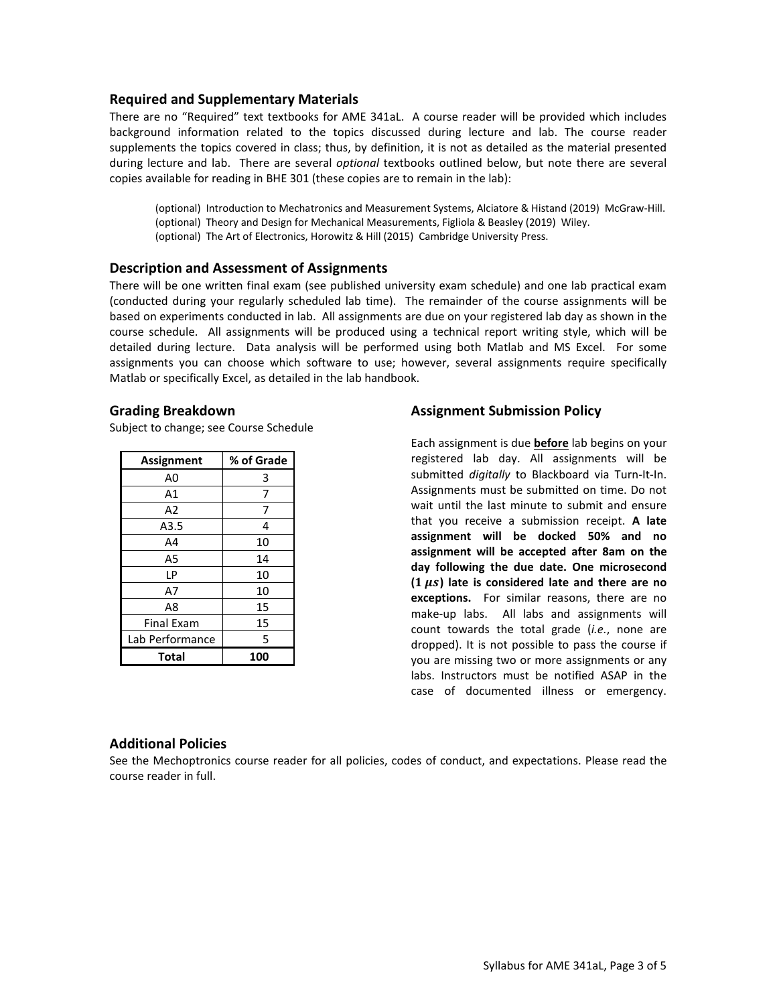#### **Required and Supplementary Materials**

There are no "Required" text textbooks for AME 341aL. A course reader will be provided which includes background information related to the topics discussed during lecture and lab. The course reader supplements the topics covered in class; thus, by definition, it is not as detailed as the material presented during lecture and lab. There are several *optional* textbooks outlined below, but note there are several copies available for reading in BHE 301 (these copies are to remain in the lab):

(optional) Introduction to Mechatronics and Measurement Systems, Alciatore & Histand (2019) McGraw-Hill. (optional) Theory and Design for Mechanical Measurements, Figliola & Beasley (2019) Wiley. (optional) The Art of Electronics, Horowitz & Hill (2015) Cambridge University Press.

### **Description and Assessment of Assignments**

There will be one written final exam (see published university exam schedule) and one lab practical exam (conducted during your regularly scheduled lab time). The remainder of the course assignments will be based on experiments conducted in lab. All assignments are due on your registered lab day as shown in the course schedule. All assignments will be produced using a technical report writing style, which will be detailed during lecture. Data analysis will be performed using both Matlab and MS Excel. For some assignments you can choose which software to use; however, several assignments require specifically Matlab or specifically Excel, as detailed in the lab handbook.

#### **Grading Breakdown**

Subject to change; see Course Schedule

| <b>Assignment</b> | % of Grade |
|-------------------|------------|
| A0                | 3          |
| A1                | 7          |
| A2                | 7          |
| A3.5              | 4          |
| A4                | 10         |
| A5                | 14         |
| LР                | 10         |
| A7                | 10         |
| A8                | 15         |
| <b>Final Exam</b> | 15         |
| Lab Performance   | 5          |
| Total             | 100        |

## **Assignment Submission Policy**

Each assignment is due **before** lab begins on your registered lab day. All assignments will be submitted *digitally* to Blackboard via Turn-It-In. Assignments must be submitted on time. Do not wait until the last minute to submit and ensure that you receive a submission receipt. **A late assignment will be docked 50% and no assignment will be accepted after 8am on the day following the due date. One microsecond ( ) late is considered late and there are no exceptions.** For similar reasons, there are no make-up labs. All labs and assignments will count towards the total grade (*i.e.*, none are dropped). It is not possible to pass the course if you are missing two or more assignments or any labs. Instructors must be notified ASAP in the case of documented illness or emergency.

## **Additional Policies**

See the Mechoptronics course reader for all policies, codes of conduct, and expectations. Please read the course reader in full.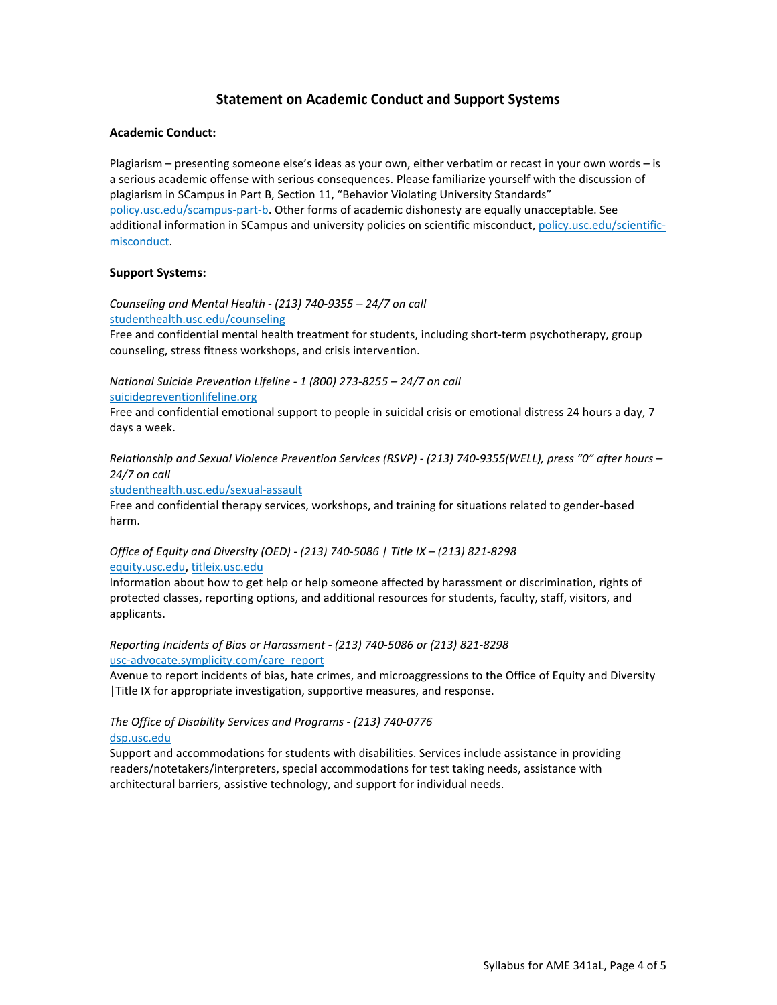## **Statement on Academic Conduct and Support Systems**

#### **Academic Conduct:**

Plagiarism – presenting someone else's ideas as your own, either verbatim or recast in your own words – is a serious academic offense with serious consequences. Please familiarize yourself with the discussion of plagiarism in SCampus in Part B, Section 11, "Behavior Violating University Standards" [policy.usc.edu/scampus-part-b.](https://policy.usc.edu/scampus-part-b/) Other forms of academic dishonesty are equally unacceptable. See additional information in SCampus and university policies on scientific misconduct[, policy.usc.edu/scientific](http://policy.usc.edu/scientific-misconduct)[misconduct.](http://policy.usc.edu/scientific-misconduct)

#### **Support Systems:**

*Counseling and Mental Health - (213) 740-9355 – 24/7 on call* [studenthealth.usc.edu/counseling](https://studenthealth.usc.edu/counseling/)

Free and confidential mental health treatment for students, including short-term psychotherapy, group counseling, stress fitness workshops, and crisis intervention.

*National Suicide Prevention Lifeline - 1 (800) 273-8255 – 24/7 on call* [suicidepreventionlifeline.org](http://www.suicidepreventionlifeline.org/)

Free and confidential emotional support to people in suicidal crisis or emotional distress 24 hours a day, 7 days a week.

*Relationship and Sexual Violence Prevention Services (RSVP) - (213) 740-9355(WELL), press "0" after hours – 24/7 on call*

[studenthealth.usc.edu/sexual-assault](https://studenthealth.usc.edu/sexual-assault/)

Free and confidential therapy services, workshops, and training for situations related to gender-based harm[.](https://engemannshc.usc.edu/rsvp/)

#### *Office of Equity and Diversity (OED) - (213) 740-5086 | Title IX – (213) 821-8298* [equity.usc.edu,](https://equity.usc.edu/) [titleix.usc.edu](http://titleix.usc.edu/)

Information about how to get help or help someone affected by harassment or discrimination, rights of protected classes, reporting options, and additional resources for students, faculty, staff, visitors, and applicants.

*Reporting Incidents of Bias or Harassment - (213) 740-5086 or (213) 821-8298* [usc-advocate.symplicity.com/care\\_report](https://usc-advocate.symplicity.com/care_report/)

Avenue to report incidents of bias, hate crimes, and microaggressions to the Office of Equity and Diversity |Title IX for appropriate investigation, supportive measures, and respons[e.](https://studentaffairs.usc.edu/bias-assessment-response-support/)

#### *The Office of Disability Services and Programs - (213) 740-0776* [dsp.usc.edu](http://dsp.usc.edu/)

Support and accommodations for students with disabilities. Services include assistance in providing readers/notetakers/interpreters, special accommodations for test taking needs, assistance with architectural barriers, assistive technology, and support for individual needs.